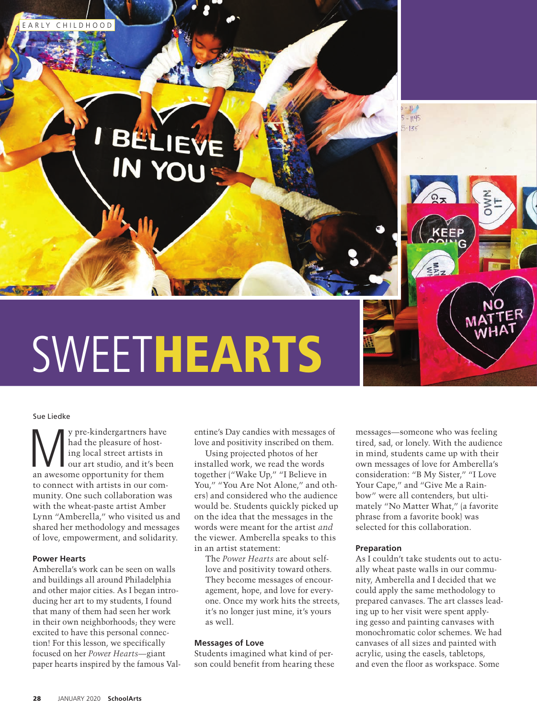

# Sue Liedke

We pre-kindergartners have<br>
had the pleasure of host-<br>
ing local street artists in<br>
our art studio, and it's bee<br>
an awesome opportunity for them had the pleasure of hosting local street artists in our art studio, and it's been to connect with artists in our community. One such collaboration was with the wheat-paste artist Amber Lynn "Amberella," who visited us and shared her methodology and messages of love, empowerment, and solidarity.

# **Power Hearts**

Amberella's work can be seen on walls and buildings all around Philadelphia and other major cities. As I began introducing her art to my students, I found that many of them had seen her work in their own neighborhoods; they were excited to have this personal connection! For this lesson, we specifically focused on her *Power Hearts*—giant paper hearts inspired by the famous Val-

entine's Day candies with messages of love and positivity inscribed on them.

Using projected photos of her installed work, we read the words together ("Wake Up," "I Believe in You," "You Are Not Alone," and others) and considered who the audience would be. Students quickly picked up on the idea that the messages in the words were meant for the artist *and* the viewer. Amberella speaks to this in an artist statement:

The *Power Hearts* are about selflove and positivity toward others. They become messages of encouragement, hope, and love for everyone. Once my work hits the streets, it's no longer just mine, it's yours as well.

## **Messages of Love**

Students imagined what kind of person could benefit from hearing these

messages—someone who was feeling tired, sad, or lonely. With the audience in mind, students came up with their own messages of love for Amberella's consideration: "B My Sister," "I Love Your Cape," and "Give Me a Rainbow" were all contenders, but ultimately "No Matter What," (a favorite phrase from a favorite book) was selected for this collaboration.

### **Preparation**

As I couldn't take students out to actually wheat paste walls in our community, Amberella and I decided that we could apply the same methodology to prepared canvases. The art classes leading up to her visit were spent applying gesso and painting canvases with monochromatic color schemes. We had canvases of all sizes and painted with acrylic, using the easels, tabletops, and even the floor as workspace. Some